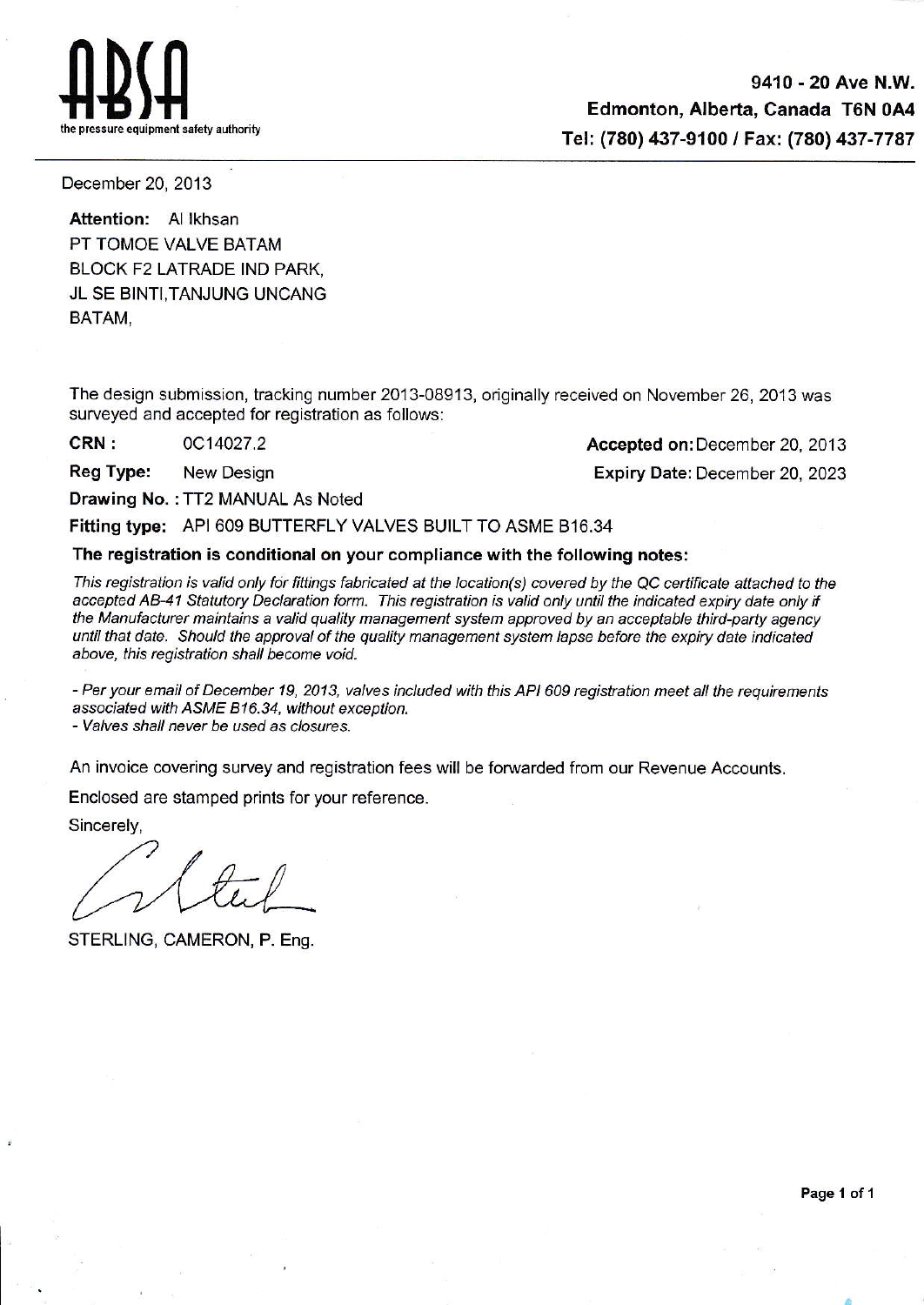${\rm H}{\rm B}{\rm H}$ 

9410 - 20 Ave N.W. Edmonton, Alberta, Canada TGN 0A4 Tel: (780) 437-9100 / Fax: (780) 437-7787

December 20, 2013

Attention: Al Ikhsan PT TOMOE VALVE BATAM BLOCK F2 LATRADE IND PARK, JL SE BINTI,TANJUNG UNCANG BATAM,

The design submission, tracking number 2013-08913, originally received on November 26, 2013 was surveyed and accepted for registration as follows:

**CRN :** 0C14027.2 **CRN** : 0C14027.2 **Accepted on:** December 20, 2013 Reg Type: New Design **Expiry Date:** December 20, 2023

Drawing No. : TT2 MANUAL As Noted

Fitting type: API 609 BUTTERFLY VALVES BUILT TO ASME B16.34

The registration is conditional on your compliance with the following notes:

This registration is valid only for fittings fabricated at the location(s) covered by the QC certificate attached to the accepted AB-41 Statutory Declaration form. This registration is valid only until the indicated expiry date only if the Manufacturer maintains a valid quality management system approved by an acceptable third-party agency until that date. Should the approval of the quality management system lapse before the expiry date indicated above, this registration shall become void.

- Per your email of December 19, 2013, valves included with this API 609 registration meet all the requirements associated with ASME 816.34, without exception.

- Valves shall never be used as closures.

An invoice covering survey and registration fees will be forwarded from our Revenue Accounts.

Enclosed are stamped prints for your reference.

Sincerely,

STERLING, CAMERON, P. Eng.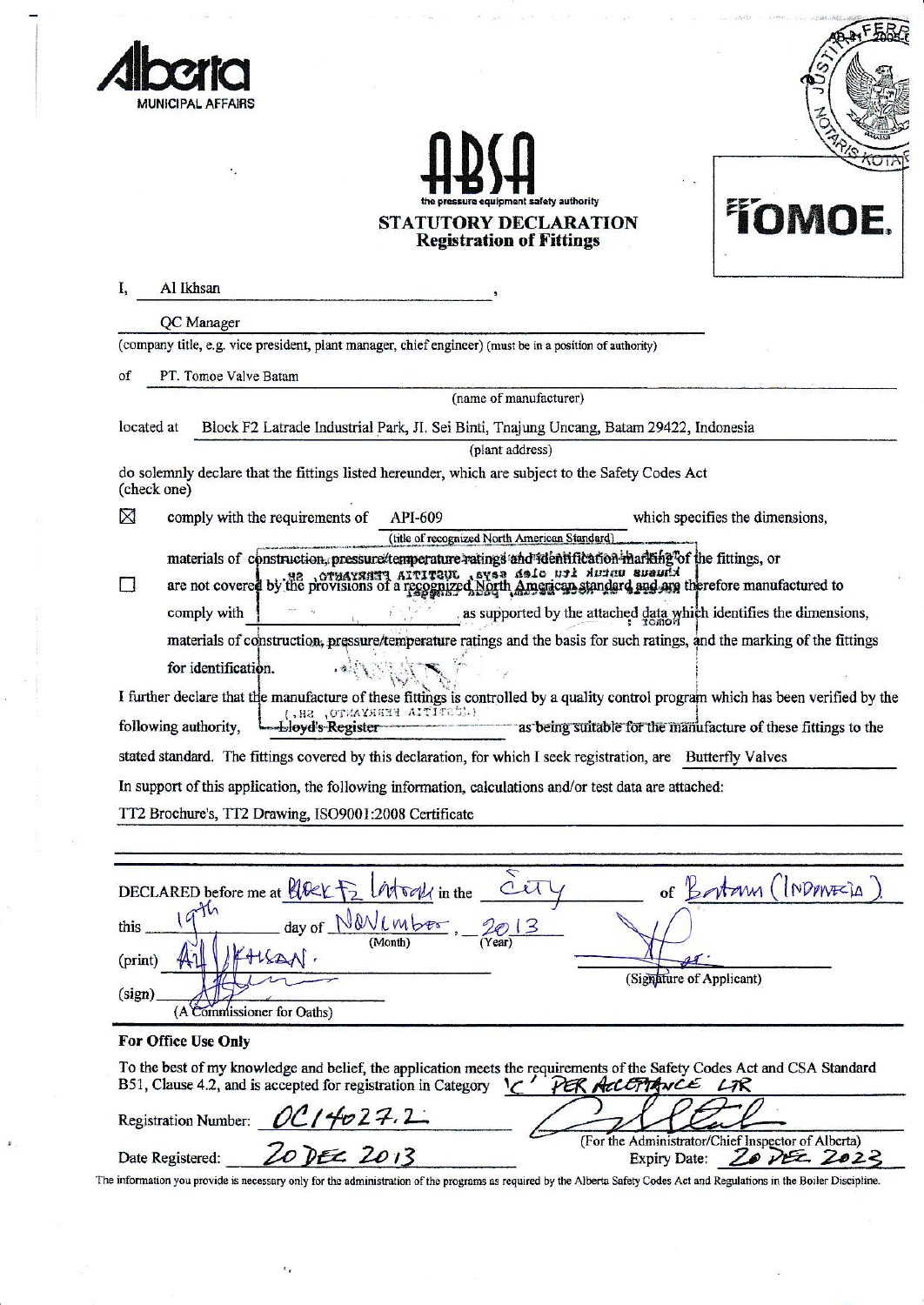

 $\omega$ 



## **STATUTORY DECLARATION<br>Registration of Fittings**



|                | Al Ikhsan                                                                                                                                                                                                              |
|----------------|------------------------------------------------------------------------------------------------------------------------------------------------------------------------------------------------------------------------|
|                | QC Manager                                                                                                                                                                                                             |
|                | (company title, e.g. vice president, plant manager, chief engineer) (must be in a position of authority)                                                                                                               |
| of             | PT. Tomoe Valve Batam                                                                                                                                                                                                  |
|                | (name of manufacturer)                                                                                                                                                                                                 |
| located at     | Block F2 Latrade Industrial Park, JI. Sei Binti, Tnajung Uncang, Batam 29422, Indonesia                                                                                                                                |
|                | (plant address)                                                                                                                                                                                                        |
|                | do solemnly declare that the fittings listed hereunder, which are subject to the Safety Codes Act<br>(check one)                                                                                                       |
| ⊠              | comply with the requirements of<br>API-609<br>which specifies the dimensions,                                                                                                                                          |
|                | (title of recognized North American Standard)                                                                                                                                                                          |
| $\blacksquare$ | materials of construction, pressure/temperature ratings and releatification-marking of the fittings, or<br>are not covered by the provisions of a recognized North American standard and any therefore manufactured to |
|                | as supported by the attached data which identifies the dimensions,<br>comply with                                                                                                                                      |
|                | materials of construction, pressure/temperature ratings and the basis for such ratings, and the marking of the fittings                                                                                                |
|                | for identification.                                                                                                                                                                                                    |
|                | I further declare that the manufacture of these fittings is controlled by a quality control program which has been verified by the                                                                                     |
|                | ( COTITIA FERRYANTO, SH. )<br>as being suitable for the manufacture of these fittings to the<br>following authority,<br>-Lloyd's Register                                                                              |
|                | stated standard. The fittings covered by this declaration, for which I seek registration, are Butterfly Valves                                                                                                         |
|                | In support of this application, the following information, calculations and/or test data are attached:                                                                                                                 |
|                | TT2 Brochure's, TT2 Drawing, ISO9001:2008 Certificate                                                                                                                                                                  |
|                |                                                                                                                                                                                                                        |
|                |                                                                                                                                                                                                                        |
|                | ↸<br>of Bostony (INDONECIA<br>DECLARED before me at HOCK F2<br>$\sqrt{u}$ in the                                                                                                                                       |
| this           |                                                                                                                                                                                                                        |
| (print)        |                                                                                                                                                                                                                        |
|                | (Signature of Applicant)                                                                                                                                                                                               |
| (sign)         | (A Commissioner for Oaths)                                                                                                                                                                                             |
|                | For Office Use Only                                                                                                                                                                                                    |
|                | To the best of my knowledge and belief, the application meets the requirements of the Safety Codes Act and CSA Standard<br>B51, Clause 4.2, and is accepted for registration in Category<br>PER ACCEPTANCE LIR         |
|                | <b>Registration Number:</b>                                                                                                                                                                                            |
|                | <u>OC14027.2</u><br>Zo Dec 2013<br>(For the Administrator/Chief Inspector of Alberta)<br>Date Registered:<br>20 DEC 2023<br><b>Expiry Date:</b>                                                                        |

The information you provide is necessary only for the administration of the programs as required by the Alberta Safety Codes Act and Regulations in the Boiler Discipline.

 $\epsilon_{\rm r}$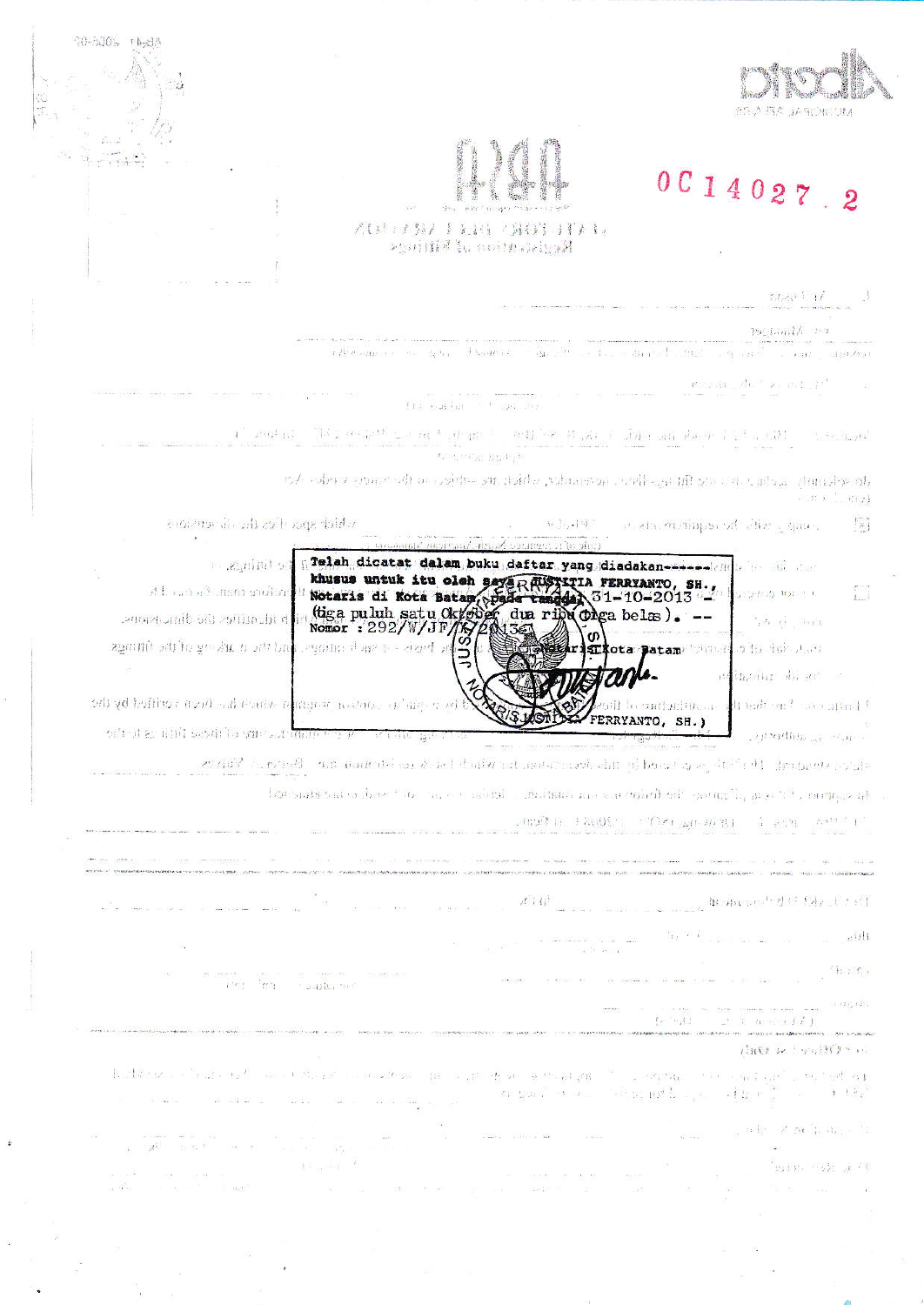

## 0 C 1 4 0 2 7 . 2

## AUTO NA FERRA CAUS APAR >公の団建 W cooleablyp射

20-800% PA-8A

 $\widetilde{\omega}$ 

Pres Pres

**CONDITION** 

 $\label{eq:1} \mathbb{E}[f_{\mathcal{P}}\zeta_{1}(\cdot)]\cdot\mathbb{E}[f_{\mathcal{P}}]$  $\rightarrow$ 

psyland/ == a

 $\label{eq:tau} \tau(P(\theta \circ \phi(p_0, \tau)) = \sigma_{\theta} = \delta_1 \sigma_{\theta, \theta} = \delta(\theta \circ \phi(p_0, \tau))$ is the solution that is a card in carried algorithm  $\alpha_{\rm eff}$  , and

 $\mathbf{P}^{(0)}$  and  $\mathbf{P}^{(0)}$  ,  $\mathbf{P}^{(1)}$  ,  $\mathbf{P}^{(1)}$  and  $\mathbf{P}^{(1)}$  and  $\mathbf{P}^{(2)}$ 

ers and are those to

 $\mathcal{C} = \max\{ \gamma_1 \} \cup \{ \gamma_2 \} \cup \{ \gamma_3 \} \cup \{ \gamma_4 \} \cup \{ \gamma_5 \} \cup \{ \gamma_6 \} \cup \{ \gamma_7 \} \cup \{ \gamma_8 \} \cup \{ \gamma_9 \} \cup \{ \gamma_7 \} \cup \{ \gamma_8 \} \cup \{ \gamma_9 \} \cup \{ \gamma_9 \} \cup \{ \gamma_9 \} \cup \{ \gamma_9 \} \cup \{ \gamma_9 \} \cup \{ \gamma_9 \} \cup \{ \gamma_9 \} \cup \{ \gamma_9 \} \cup \{ \gamma_9 \} \cup \{ \gamma_9 \} \cup \$  $x_1,\ldots,x_{n-1},\ldots,x_{n-1}$  ).

> the selection is calculated in any different measure between the selection of the homogeneously states. Any  $\mathcal{R} \in \left[ 0, \mathcal{R} \right]$

sibilide spacifica the distrusions.  $(1, 1)$ ,  $(1, 1)$  $\left[\begin{smallmatrix} 1 & 0 \\ 0 & 1 \end{smallmatrix}\right]$ an eta meninformé alles y que c

oumers of topins)

greich diostat dalam bukugdaftar yang diadakan-Alandu ber alle an is a minited khusus untuk itu oleh saya Raustrin FERRYANTO, SH.,  $\begin{bmatrix} 1 & 0 \\ 0 & 1 \end{bmatrix}$ . ส.โ.กร.การในเซต รายวิราช ココカリ サルミモ ally identifies the dimensions.  $\mathcal{A}_i, \mathcal{B}_i, \mathcal{A}_j, \mathcal{A}_j, \mathcal{A}_i, \mathcal{A}_j$ 

againit air ne ar an an bai ristrota patam bungi oleh ing kan  $\sim$ inditionist du ma

odi gd hoffnou morti cal isome remasor, nasmo, cel mg guat t faith continuing and the first finite different flux **RIS MOT** FERRYANTO, SH.) sited as and sesting one accompan-Top within the series

evelop should be the special of the mass between the plane of the state of the design of the design Village

but such that we have the lands to contain interfactor are can defect that the entirely and the composite

(Tens in search in the name) (1993) (1993) (1997)

a manuel de la Pret  $\label{eq:2.1} \rho^{\rm eff}_{\rm eff} (44^3) \qquad \qquad \rho^{\rm eff}_{\rm eff} (44^3) \qquad \qquad$  as a second contrary

> the first community of the community  $\sim$   $\sim$  011  $\label{eq:2.1} \frac{1}{\sqrt{2}}\sum_{i=1}^n\frac{1}{\sqrt{2}}\sum_{i=1}^n\frac{1}{\sqrt{2}}\sum_{i=1}^n\frac{1}{\sqrt{2}}\sum_{i=1}^n\frac{1}{\sqrt{2}}\sum_{i=1}^n\frac{1}{\sqrt{2}}\sum_{i=1}^n\frac{1}{\sqrt{2}}\sum_{i=1}^n\frac{1}{\sqrt{2}}\sum_{i=1}^n\frac{1}{\sqrt{2}}\sum_{i=1}^n\frac{1}{\sqrt{2}}\sum_{i=1}^n\frac{1}{\sqrt{2}}\sum_{i=1}^n\frac$

> > $h: f$

 $\{e^{-\pi}r_0(2) \qquad \text{if} \quad e^{2\pi i \pi} \qquad \text{if} \quad e^{2\pi i \pi} \qquad \text{if} \quad e^{2\pi i \pi} \qquad \text{if} \quad e^{2\pi i \pi} \qquad \text{if} \quad e^{2\pi i \pi} \qquad \text{if} \quad e^{2\pi i \pi} \qquad \text{if} \quad e^{2\pi i \pi} \qquad \text{if} \quad e^{2\pi i \pi} \qquad \text{if} \quad e^{2\pi i \pi} \qquad \text{if} \quad e^{2\pi i \pi} \qquad \text{if} \quad e^{2\pi i \$ 

## AND RESINISH

scenarious de suprime amazonada a provincial constructive a suprime del B. History of Fredericks  $\alpha$  gas in a  $\sim$  -in a  $\alpha\beta$  ,  $\alpha^2$  ,  $\alpha^2$  ,  $\alpha^2$  $\frac{1}{2}$   $\frac{1}{2}$   $\frac{1}{2}$   $\frac{1}{6}$ 

 $\gamma_{\rm s}$  and  $\gamma_{\rm s}$  of  $\gamma_{\rm H}$  ,  $\gamma_{\rm H}$  ,  $\alpha_{\rm H}$  ,  $\gamma_{\rm H}$ 

 $"$  ty (  $p$  ,  $"$  - 5  $\lambda$  -  $\mu$  - 2  $^{\circ}$  4 SECTION BY AND 8827